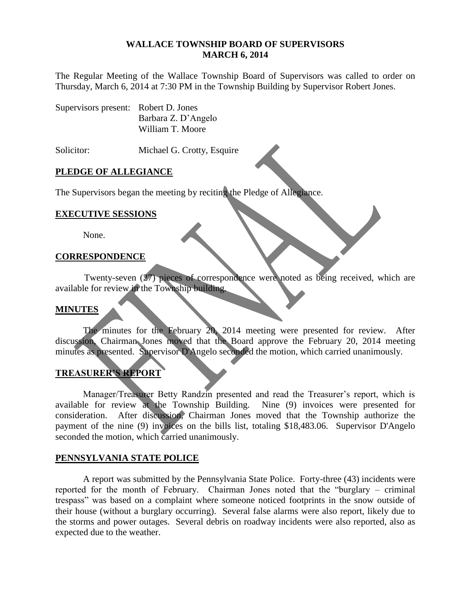#### **WALLACE TOWNSHIP BOARD OF SUPERVISORS MARCH 6, 2014**

The Regular Meeting of the Wallace Township Board of Supervisors was called to order on Thursday, March 6, 2014 at 7:30 PM in the Township Building by Supervisor Robert Jones.

Supervisors present: Robert D. Jones Barbara Z. D'Angelo William T. Moore

Solicitor: Michael G. Crotty, Esquire

## **PLEDGE OF ALLEGIANCE**

The Supervisors began the meeting by reciting the Pledge of Allegiance.

## **EXECUTIVE SESSIONS**

None.

## **CORRESPONDENCE**

Twenty-seven (27) pieces of correspondence were noted as being received, which are available for review in the Township building.

## **MINUTES**

The minutes for the February 20, 2014 meeting were presented for review. After discussion, Chairman Jones moved that the Board approve the February 20, 2014 meeting minutes as presented. Supervisor D'Angelo seconded the motion, which carried unanimously.

# **TREASURER'S REPORT**

Manager/Treasurer Betty Randzin presented and read the Treasurer's report, which is available for review at the Township Building. Nine (9) invoices were presented for consideration. After discussion, Chairman Jones moved that the Township authorize the payment of the nine (9) invoices on the bills list, totaling \$18,483.06. Supervisor D'Angelo seconded the motion, which carried unanimously.

## **PENNSYLVANIA STATE POLICE**

A report was submitted by the Pennsylvania State Police. Forty-three (43) incidents were reported for the month of February. Chairman Jones noted that the "burglary – criminal trespass" was based on a complaint where someone noticed footprints in the snow outside of their house (without a burglary occurring). Several false alarms were also report, likely due to the storms and power outages. Several debris on roadway incidents were also reported, also as expected due to the weather.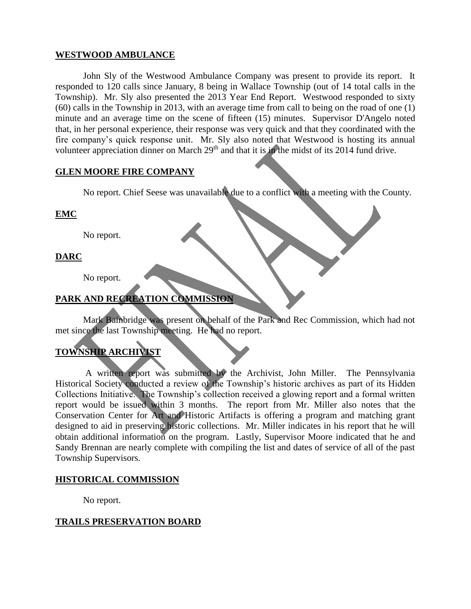## **WESTWOOD AMBULANCE**

John Sly of the Westwood Ambulance Company was present to provide its report. It responded to 120 calls since January, 8 being in Wallace Township (out of 14 total calls in the Township). Mr. Sly also presented the 2013 Year End Report. Westwood responded to sixty (60) calls in the Township in 2013, with an average time from call to being on the road of one (1) minute and an average time on the scene of fifteen (15) minutes. Supervisor D'Angelo noted that, in her personal experience, their response was very quick and that they coordinated with the fire company's quick response unit. Mr. Sly also noted that Westwood is hosting its annual volunteer appreciation dinner on March 29<sup>th</sup> and that it is in the midst of its 2014 fund drive.

## **GLEN MOORE FIRE COMPANY**

No report. Chief Seese was unavailable due to a conflict with a meeting with the County.

**EMC**

No report.

# **DARC**

No report.

# **PARK AND RECREATION COMMISSION**

Mark Bainbridge was present on behalf of the Park and Rec Commission, which had not met since the last Township meeting. He had no report.

# **TOWNSHIP ARCHIVIST**

A written report was submitted by the Archivist, John Miller. The Pennsylvania Historical Society conducted a review of the Township's historic archives as part of its Hidden Collections Initiative. The Township's collection received a glowing report and a formal written report would be issued within 3 months. The report from Mr. Miller also notes that the Conservation Center for Art and Historic Artifacts is offering a program and matching grant designed to aid in preserving historic collections. Mr. Miller indicates in his report that he will obtain additional information on the program. Lastly, Supervisor Moore indicated that he and Sandy Brennan are nearly complete with compiling the list and dates of service of all of the past Township Supervisors.

# **HISTORICAL COMMISSION**

No report.

## **TRAILS PRESERVATION BOARD**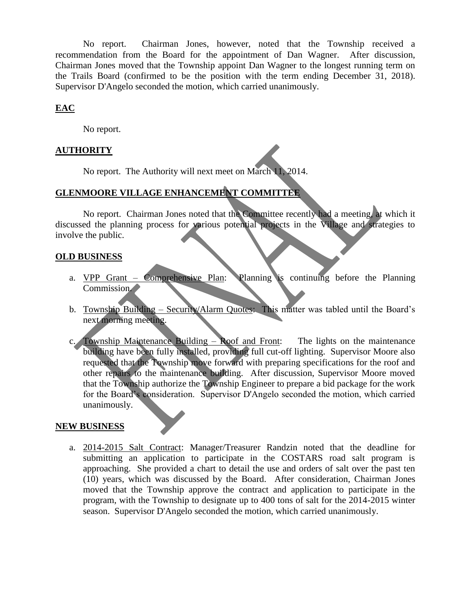No report. Chairman Jones, however, noted that the Township received a recommendation from the Board for the appointment of Dan Wagner. After discussion, Chairman Jones moved that the Township appoint Dan Wagner to the longest running term on the Trails Board (confirmed to be the position with the term ending December 31, 2018). Supervisor D'Angelo seconded the motion, which carried unanimously.

# **EAC**

No report.

# **AUTHORITY**

No report. The Authority will next meet on March 11, 2014.

# **GLENMOORE VILLAGE ENHANCEMENT COMMITTEE**

No report. Chairman Jones noted that the Committee recently had a meeting, at which it discussed the planning process for various potential projects in the Village and strategies to involve the public.

# **OLD BUSINESS**

- a. VPP Grant Comprehensive Plan: Planning is continuing before the Planning Commission.
- b. Township Building Security/Alarm Quotes: This matter was tabled until the Board's next morning meeting.
- c. Township Maintenance Building Roof and Front: The lights on the maintenance building have been fully installed, providing full cut-off lighting. Supervisor Moore also requested that the Township move forward with preparing specifications for the roof and other repairs to the maintenance building. After discussion, Supervisor Moore moved that the Township authorize the Township Engineer to prepare a bid package for the work for the Board's consideration. Supervisor D'Angelo seconded the motion, which carried unanimously.

## **NEW BUSINESS**

a. 2014-2015 Salt Contract: Manager/Treasurer Randzin noted that the deadline for submitting an application to participate in the COSTARS road salt program is approaching. She provided a chart to detail the use and orders of salt over the past ten (10) years, which was discussed by the Board. After consideration, Chairman Jones moved that the Township approve the contract and application to participate in the program, with the Township to designate up to 400 tons of salt for the 2014-2015 winter season. Supervisor D'Angelo seconded the motion, which carried unanimously.